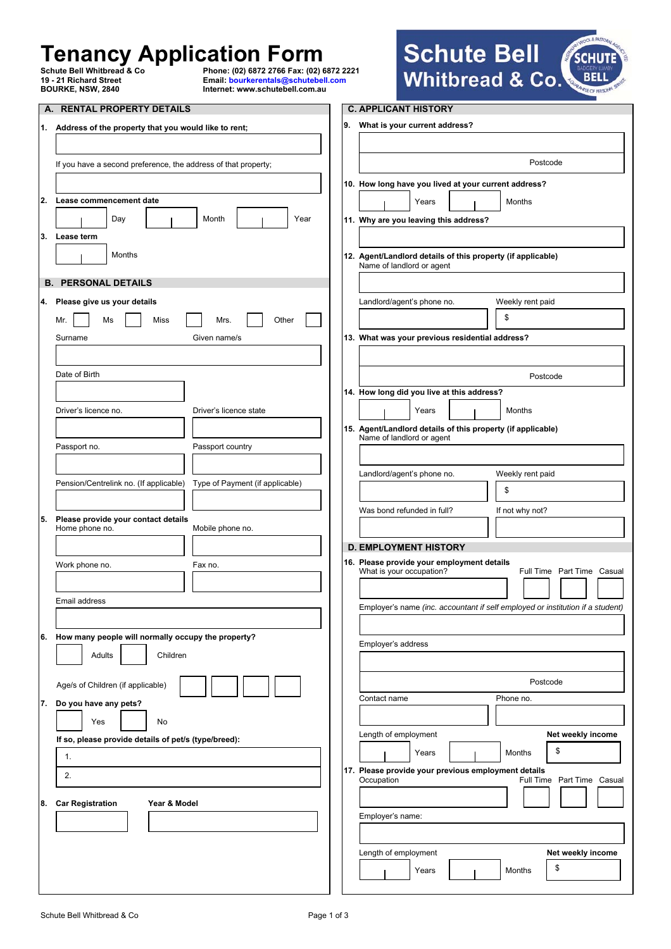## **Tenancy Application Form**

**BOURKE, NSW, 2840 Internet: www.schutebell.com.au**

**Schute Bell Whitbread & Co Phone: (02) 6872 2766 Fax: (02) 6872 2221 19 - 21 Richard Street Email: bourkerentals@schutebell.com** 



|     | A. RENTAL PROPERTY DETAILS                                                |    | <b>C. APPLICANT HISTORY</b>                                                    |           |                  |                   |                            |
|-----|---------------------------------------------------------------------------|----|--------------------------------------------------------------------------------|-----------|------------------|-------------------|----------------------------|
|     | 1. Address of the property that you would like to rent;                   | 9. | What is your current address?                                                  |           |                  |                   |                            |
|     |                                                                           |    |                                                                                |           |                  |                   |                            |
|     |                                                                           |    |                                                                                |           | Postcode         |                   |                            |
|     | If you have a second preference, the address of that property;            |    |                                                                                |           |                  |                   |                            |
|     |                                                                           |    | 10. How long have you lived at your current address?                           |           |                  |                   |                            |
| 2.  | Lease commencement date                                                   |    | Years                                                                          | Months    |                  |                   |                            |
|     | Day<br>Month<br>Year                                                      |    | 11. Why are you leaving this address?                                          |           |                  |                   |                            |
| 3.  | Lease term                                                                |    |                                                                                |           |                  |                   |                            |
|     | Months                                                                    |    | 12. Agent/Landlord details of this property (if applicable)                    |           |                  |                   |                            |
|     |                                                                           |    | Name of landlord or agent                                                      |           |                  |                   |                            |
|     | <b>B. PERSONAL DETAILS</b>                                                |    |                                                                                |           |                  |                   |                            |
|     | 4. Please give us your details                                            |    | Landlord/agent's phone no.                                                     |           | Weekly rent paid |                   |                            |
|     | Ms<br>Miss<br>Mrs.<br>Other<br>Mr.                                        |    |                                                                                | \$        |                  |                   |                            |
|     | Given name/s<br>Surname                                                   |    | 13. What was your previous residential address?                                |           |                  |                   |                            |
|     |                                                                           |    |                                                                                |           |                  |                   |                            |
|     | Date of Birth                                                             |    |                                                                                |           | Postcode         |                   |                            |
|     |                                                                           |    | 14. How long did you live at this address?                                     |           |                  |                   |                            |
|     | Driver's licence no.<br>Driver's licence state                            |    | Years                                                                          | Months    |                  |                   |                            |
|     |                                                                           |    | 15. Agent/Landlord details of this property (if applicable)                    |           |                  |                   |                            |
|     | Passport no.<br>Passport country                                          |    | Name of landlord or agent                                                      |           |                  |                   |                            |
|     |                                                                           |    |                                                                                |           |                  |                   |                            |
|     |                                                                           |    | Landlord/agent's phone no.                                                     |           | Weekly rent paid |                   |                            |
|     | Pension/Centrelink no. (If applicable)<br>Type of Payment (if applicable) |    |                                                                                | \$        |                  |                   |                            |
|     |                                                                           |    | Was bond refunded in full?                                                     |           | If not why not?  |                   |                            |
| 5.  | Please provide your contact details<br>Home phone no.<br>Mobile phone no. |    |                                                                                |           |                  |                   |                            |
|     |                                                                           |    | <b>D. EMPLOYMENT HISTORY</b>                                                   |           |                  |                   |                            |
|     | Fax no.                                                                   |    | 16. Please provide your employment details                                     |           |                  |                   |                            |
|     | Work phone no.                                                            |    | What is your occupation?                                                       |           |                  |                   | Full Time Part Time Casual |
|     |                                                                           |    |                                                                                |           |                  |                   |                            |
|     | Email address                                                             |    | Employer's name (inc. accountant if self employed or institution if a student) |           |                  |                   |                            |
|     |                                                                           |    |                                                                                |           |                  |                   |                            |
|     | 6. How many people will normally occupy the property?                     |    | Employer's address                                                             |           |                  |                   |                            |
|     | Children<br>Adults                                                        |    |                                                                                |           |                  |                   |                            |
|     |                                                                           |    |                                                                                |           | Postcode         |                   |                            |
|     | Age/s of Children (if applicable)                                         |    | Contact name                                                                   | Phone no. |                  |                   |                            |
| 17. | Do you have any pets?                                                     |    |                                                                                |           |                  |                   |                            |
|     | Yes<br>No                                                                 |    |                                                                                |           |                  |                   |                            |
|     | If so, please provide details of pet/s (type/breed):                      |    | Length of employment                                                           |           |                  | Net weekly income |                            |
|     | 1.                                                                        |    | Years                                                                          | Months    |                  | \$                |                            |
|     | 2.                                                                        |    | 17. Please provide your previous employment details<br>Occupation              |           |                  |                   | Full Time Part Time Casual |
|     |                                                                           |    |                                                                                |           |                  |                   |                            |
| 8   | <b>Car Registration</b><br>Year & Model                                   |    | Employer's name:                                                               |           |                  |                   |                            |
|     |                                                                           |    |                                                                                |           |                  |                   |                            |
|     |                                                                           |    |                                                                                |           |                  |                   |                            |
|     |                                                                           |    | Length of employment                                                           |           |                  | Net weekly income |                            |
|     |                                                                           |    | Years                                                                          | Months    |                  | \$                |                            |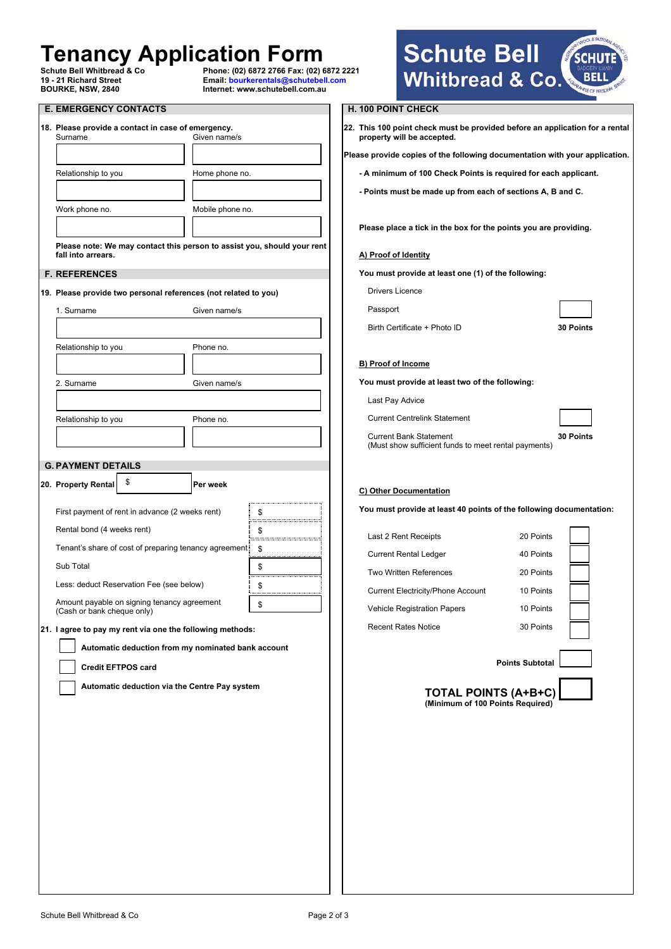# **Tenancy Application Form**<br> **Schute Bell Whitbread & Co.**<br> **Phone:** (02) 6872 2766 Fax: (02)

**Please note: We may contact this person to assist you, should your rent** 

**19 - 21 Richard Street Email: bourkerentals@schutebell.com** 

**fall into arrears. F. REFERENCES** 

**G. PAYMENT DETAILS** 

Rental bond (4 weeks rent)

(Cash or bank cheque only)

**Credit EFTPOS card** 

Sub Total

**E. EMERGENCY CONTACTS** 

**18. Please provide a contact in case of emergency.**  Surname Given name/s

Relationship to you **Home phone no.** 

Work phone no. **Mobile phone no.** 

**19. Please provide two personal references (not related to you)** 1. Surname Given name/s

Relationship to you **Phone no.** 

2. Surname Given name/s

Relationship to you **Phone no.** 

**20. Property Rental**  $\frac{1}{2}$  Per week

\$

First payment of rent in advance (2 weeks rent)

Less: deduct Reservation Fee (see below) Amount payable on signing tenancy agreement

Tenant's share of cost of preparing tenancy agreement

**21. I agree to pay my rent via one the following methods:** 

Schute Bell Whitbread & Co<br> **Phone: (02) 6872 2766 Fax: (02) 6872 2221**<br>
Email: bourkerentals@schutebell.com

**BOURKE, NSW, 2840 Internet: www.schutebell.com.au**



## **H. 100 POINT CHECK**

**22. This 100 point check must be provided before an application for a rental property will be accepted.** 

**Please provide copies of the following documentation with your application.** 

**- A minimum of 100 Check Points is required for each applicant.** 

**- Points must be made up from each of sections A, B and C.** 

**Please place a tick in the box for the points you are providing.** 

#### **A) Proof of Identity**

Drivers Licence

**You must provide at least one (1) of the following:** 

Passport

Birth Certificate + Photo ID **30 Points**

#### **B) Proof of Income**

**You must provide at least two of the following:** 

Last Pay Advice

Current Centrelink Statement

 Current Bank Statement **30 Points** (Must show sufficient funds to meet rental payments)

#### **C) Other Documentation**

**You must provide at least 40 points of the following documentation:** 

| Last 2 Rent Receipts               | 20 Points |  |
|------------------------------------|-----------|--|
| <b>Current Rental Ledger</b>       | 40 Points |  |
| Two Written References             | 20 Points |  |
| Current Electricity/Phone Account  | 10 Points |  |
| <b>Vehicle Registration Papers</b> | 10 Points |  |
| Recent Rates Notice                | 30 Points |  |
|                                    |           |  |

 **TOTAL POINTS (A+B+C) (Minimum of 100 Points Required)**

 **Points Subtotal** 

**Automatic deduction via the Centre Pay system** 

**Automatic deduction from my nominated bank account** 

\$

\$

\$ \$

\$

\$